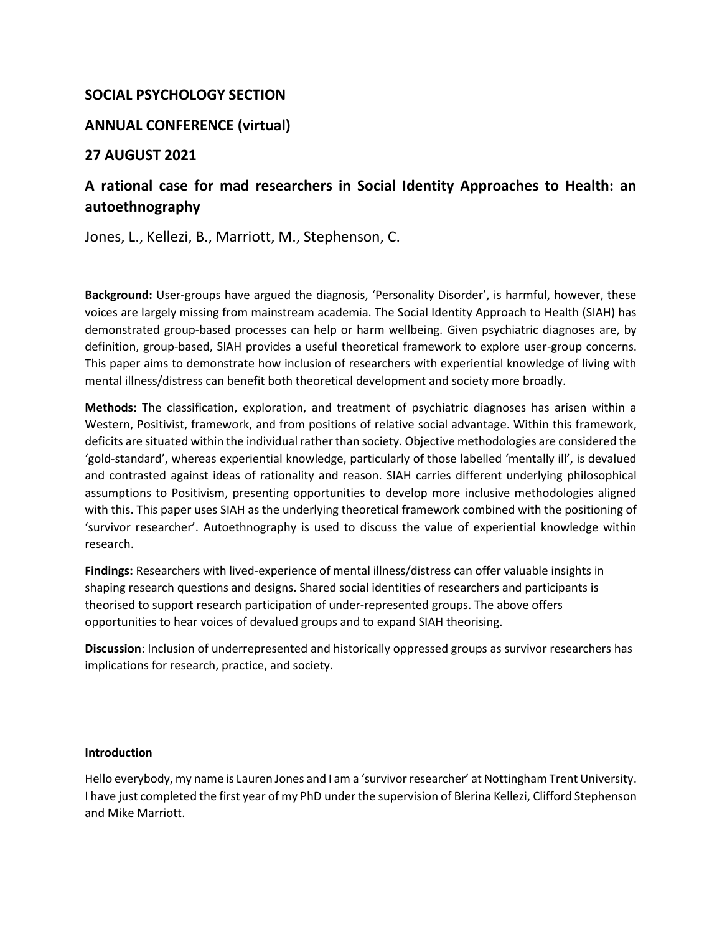# **SOCIAL PSYCHOLOGY SECTION**

# **ANNUAL CONFERENCE (virtual)**

# **27 AUGUST 2021**

# **A rational case for mad researchers in Social Identity Approaches to Health: an autoethnography**

Jones, L., Kellezi, B., Marriott, M., Stephenson, C.

**Background:** User-groups have argued the diagnosis, 'Personality Disorder', is harmful, however, these voices are largely missing from mainstream academia. The Social Identity Approach to Health (SIAH) has demonstrated group-based processes can help or harm wellbeing. Given psychiatric diagnoses are, by definition, group-based, SIAH provides a useful theoretical framework to explore user-group concerns. This paper aims to demonstrate how inclusion of researchers with experiential knowledge of living with mental illness/distress can benefit both theoretical development and society more broadly.

**Methods:** The classification, exploration, and treatment of psychiatric diagnoses has arisen within a Western, Positivist, framework, and from positions of relative social advantage. Within this framework, deficits are situated within the individual rather than society. Objective methodologies are considered the 'gold-standard', whereas experiential knowledge, particularly of those labelled 'mentally ill', is devalued and contrasted against ideas of rationality and reason. SIAH carries different underlying philosophical assumptions to Positivism, presenting opportunities to develop more inclusive methodologies aligned with this. This paper uses SIAH as the underlying theoretical framework combined with the positioning of 'survivor researcher'. Autoethnography is used to discuss the value of experiential knowledge within research.

**Findings:** Researchers with lived-experience of mental illness/distress can offer valuable insights in shaping research questions and designs. Shared social identities of researchers and participants is theorised to support research participation of under-represented groups. The above offers opportunities to hear voices of devalued groups and to expand SIAH theorising.

**Discussion**: Inclusion of underrepresented and historically oppressed groups as survivor researchers has implications for research, practice, and society.

## **Introduction**

Hello everybody, my name is Lauren Jones and I am a 'survivor researcher' at Nottingham Trent University. I have just completed the first year of my PhD under the supervision of Blerina Kellezi, Clifford Stephenson and Mike Marriott.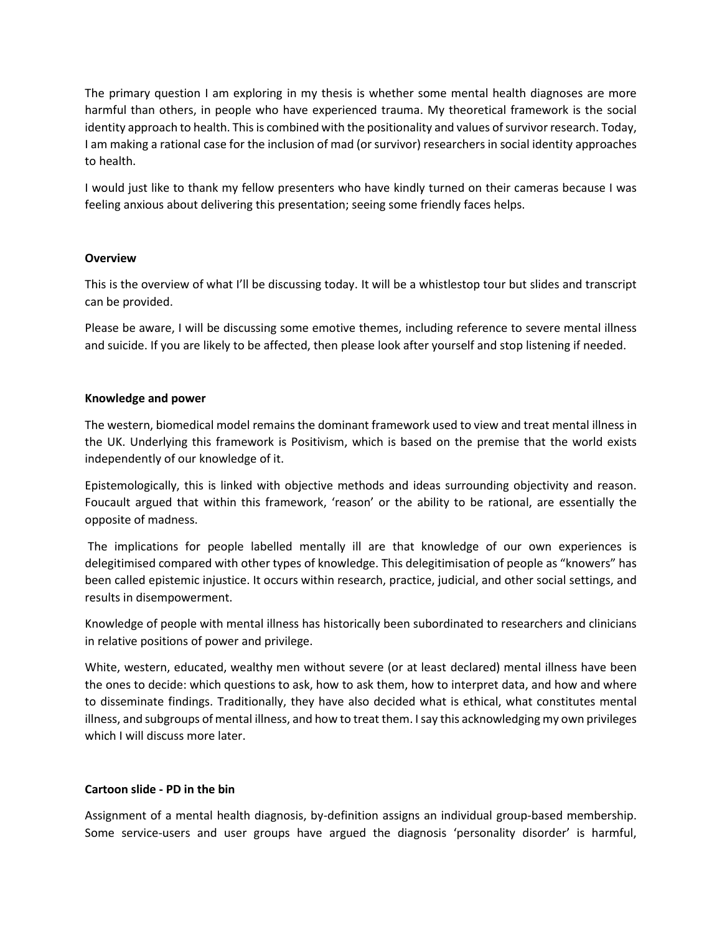The primary question I am exploring in my thesis is whether some mental health diagnoses are more harmful than others, in people who have experienced trauma. My theoretical framework is the social identity approach to health. This is combined with the positionality and values of survivor research. Today, I am making a rational case for the inclusion of mad (or survivor) researchersin social identity approaches to health.

I would just like to thank my fellow presenters who have kindly turned on their cameras because I was feeling anxious about delivering this presentation; seeing some friendly faces helps.

#### **Overview**

This is the overview of what I'll be discussing today. It will be a whistlestop tour but slides and transcript can be provided.

Please be aware, I will be discussing some emotive themes, including reference to severe mental illness and suicide. If you are likely to be affected, then please look after yourself and stop listening if needed.

#### **Knowledge and power**

The western, biomedical model remains the dominant framework used to view and treat mental illness in the UK. Underlying this framework is Positivism, which is based on the premise that the world exists independently of our knowledge of it.

Epistemologically, this is linked with objective methods and ideas surrounding objectivity and reason. Foucault argued that within this framework, 'reason' or the ability to be rational, are essentially the opposite of madness.

The implications for people labelled mentally ill are that knowledge of our own experiences is delegitimised compared with other types of knowledge. This delegitimisation of people as "knowers" has been called epistemic injustice. It occurs within research, practice, judicial, and other social settings, and results in disempowerment.

Knowledge of people with mental illness has historically been subordinated to researchers and clinicians in relative positions of power and privilege.

White, western, educated, wealthy men without severe (or at least declared) mental illness have been the ones to decide: which questions to ask, how to ask them, how to interpret data, and how and where to disseminate findings. Traditionally, they have also decided what is ethical, what constitutes mental illness, and subgroups of mental illness, and how to treat them. I say this acknowledging my own privileges which I will discuss more later.

## **Cartoon slide - PD in the bin**

Assignment of a mental health diagnosis, by-definition assigns an individual group-based membership. Some service-users and user groups have argued the diagnosis 'personality disorder' is harmful,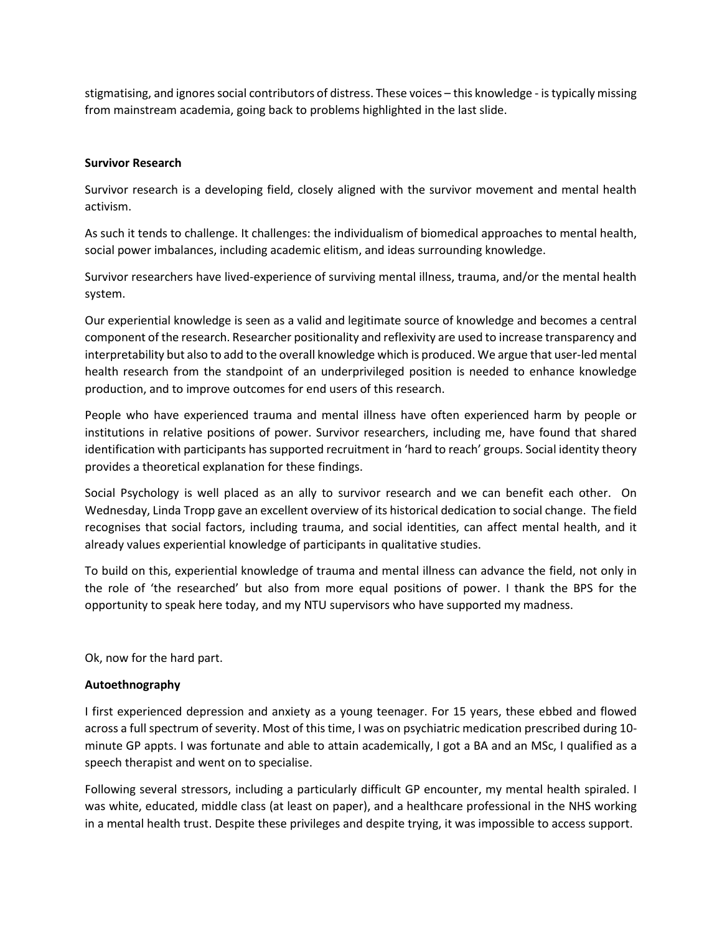stigmatising, and ignores social contributors of distress. These voices – this knowledge - is typically missing from mainstream academia, going back to problems highlighted in the last slide.

## **Survivor Research**

Survivor research is a developing field, closely aligned with the survivor movement and mental health activism.

As such it tends to challenge. It challenges: the individualism of biomedical approaches to mental health, social power imbalances, including academic elitism, and ideas surrounding knowledge.

Survivor researchers have lived-experience of surviving mental illness, trauma, and/or the mental health system.

Our experiential knowledge is seen as a valid and legitimate source of knowledge and becomes a central component of the research. Researcher positionality and reflexivity are used to increase transparency and interpretability but also to add to the overall knowledge which is produced. We argue that user-led mental health research from the standpoint of an underprivileged position is needed to enhance knowledge production, and to improve outcomes for end users of this research.

People who have experienced trauma and mental illness have often experienced harm by people or institutions in relative positions of power. Survivor researchers, including me, have found that shared identification with participants has supported recruitment in 'hard to reach' groups. Social identity theory provides a theoretical explanation for these findings.

Social Psychology is well placed as an ally to survivor research and we can benefit each other. On Wednesday, Linda Tropp gave an excellent overview of its historical dedication to social change. The field recognises that social factors, including trauma, and social identities, can affect mental health, and it already values experiential knowledge of participants in qualitative studies.

To build on this, experiential knowledge of trauma and mental illness can advance the field, not only in the role of 'the researched' but also from more equal positions of power. I thank the BPS for the opportunity to speak here today, and my NTU supervisors who have supported my madness.

Ok, now for the hard part.

## **Autoethnography**

I first experienced depression and anxiety as a young teenager. For 15 years, these ebbed and flowed across a full spectrum of severity. Most of this time, I was on psychiatric medication prescribed during 10 minute GP appts. I was fortunate and able to attain academically, I got a BA and an MSc, I qualified as a speech therapist and went on to specialise.

Following several stressors, including a particularly difficult GP encounter, my mental health spiraled. I was white, educated, middle class (at least on paper), and a healthcare professional in the NHS working in a mental health trust. Despite these privileges and despite trying, it was impossible to access support.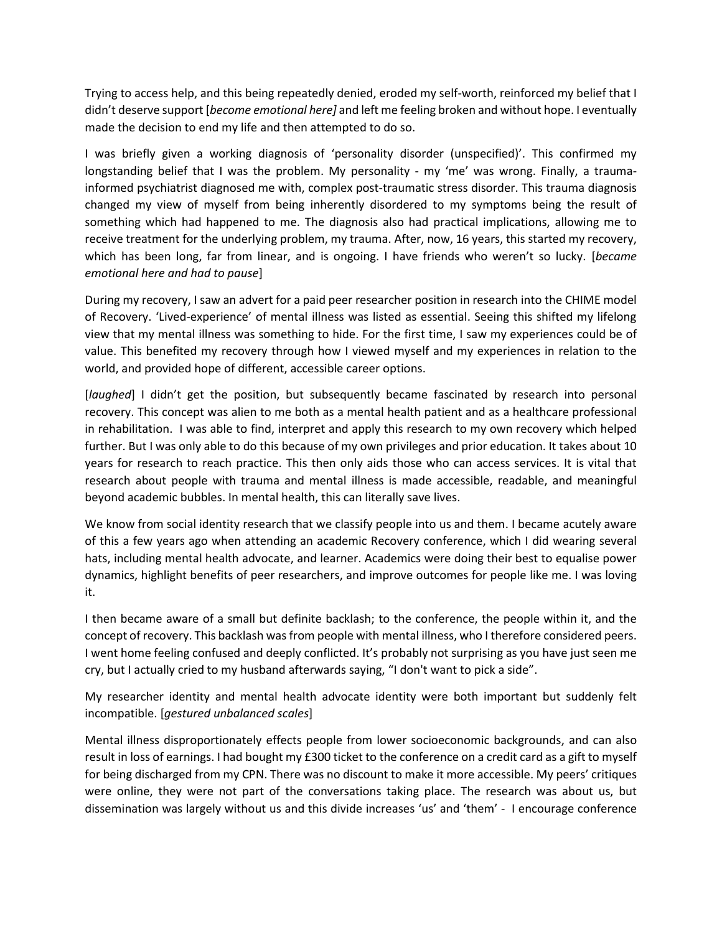Trying to access help, and this being repeatedly denied, eroded my self-worth, reinforced my belief that I didn't deserve support [*become emotional here]* and left me feeling broken and without hope. I eventually made the decision to end my life and then attempted to do so.

I was briefly given a working diagnosis of 'personality disorder (unspecified)'. This confirmed my longstanding belief that I was the problem. My personality - my 'me' was wrong. Finally, a traumainformed psychiatrist diagnosed me with, complex post-traumatic stress disorder. This trauma diagnosis changed my view of myself from being inherently disordered to my symptoms being the result of something which had happened to me. The diagnosis also had practical implications, allowing me to receive treatment for the underlying problem, my trauma. After, now, 16 years, this started my recovery, which has been long, far from linear, and is ongoing. I have friends who weren't so lucky. [*became emotional here and had to pause*]

During my recovery, I saw an advert for a paid peer researcher position in research into the CHIME model of Recovery. 'Lived-experience' of mental illness was listed as essential. Seeing this shifted my lifelong view that my mental illness was something to hide. For the first time, I saw my experiences could be of value. This benefited my recovery through how I viewed myself and my experiences in relation to the world, and provided hope of different, accessible career options.

[*laughed*] I didn't get the position, but subsequently became fascinated by research into personal recovery. This concept was alien to me both as a mental health patient and as a healthcare professional in rehabilitation. I was able to find, interpret and apply this research to my own recovery which helped further. But I was only able to do this because of my own privileges and prior education. It takes about 10 years for research to reach practice. This then only aids those who can access services. It is vital that research about people with trauma and mental illness is made accessible, readable, and meaningful beyond academic bubbles. In mental health, this can literally save lives.

We know from social identity research that we classify people into us and them. I became acutely aware of this a few years ago when attending an academic Recovery conference, which I did wearing several hats, including mental health advocate, and learner. Academics were doing their best to equalise power dynamics, highlight benefits of peer researchers, and improve outcomes for people like me. I was loving it.

I then became aware of a small but definite backlash; to the conference, the people within it, and the concept of recovery. This backlash was from people with mental illness, who I therefore considered peers. I went home feeling confused and deeply conflicted. It's probably not surprising as you have just seen me cry, but I actually cried to my husband afterwards saying, "I don't want to pick a side".

My researcher identity and mental health advocate identity were both important but suddenly felt incompatible. [*gestured unbalanced scales*]

Mental illness disproportionately effects people from lower socioeconomic backgrounds, and can also result in loss of earnings. I had bought my £300 ticket to the conference on a credit card as a gift to myself for being discharged from my CPN. There was no discount to make it more accessible. My peers' critiques were online, they were not part of the conversations taking place. The research was about us, but dissemination was largely without us and this divide increases 'us' and 'them' - I encourage conference